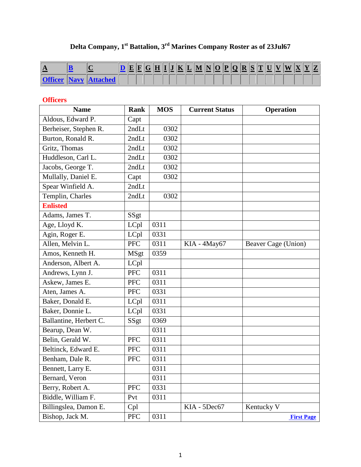## **Delta Company, 1st Battalion, 3rd Marines Company Roster as of 23Jul67**

<span id="page-0-3"></span>

| A |  |  |  | $\mathbf H$ |  |  | $\mathbf{T}$ $\mathbf{I}$ $\mathbf{K}$ $\mathbf{L}$ $\mathbf{M}$ $\mathbf{N}$ $\mathbf{O}$ $\mathbf{P}$ $\mathbf{Q}$ $\mathbf{R}$ $\mathbf{S}$ $\mathbf{I}$ |  |  |  | U |  | $ \mathbf{A} $ |  |
|---|--|--|--|-------------|--|--|-------------------------------------------------------------------------------------------------------------------------------------------------------------|--|--|--|---|--|----------------|--|
|   |  |  |  |             |  |  |                                                                                                                                                             |  |  |  |   |  |                |  |

## <span id="page-0-2"></span>**Officers**

<span id="page-0-1"></span><span id="page-0-0"></span>

| <b>Name</b>            | Rank        | <b>MOS</b> | <b>Current Status</b> | <b>Operation</b>    |
|------------------------|-------------|------------|-----------------------|---------------------|
| Aldous, Edward P.      | Capt        |            |                       |                     |
| Berheiser, Stephen R.  | 2ndLt       | 0302       |                       |                     |
| Burton, Ronald R.      | 2ndLt       | 0302       |                       |                     |
| Gritz, Thomas          | 2ndLt       | 0302       |                       |                     |
| Huddleson, Carl L.     | 2ndLt       | 0302       |                       |                     |
| Jacobs, George T.      | 2ndLt       | 0302       |                       |                     |
| Mullally, Daniel E.    | Capt        | 0302       |                       |                     |
| Spear Winfield A.      | 2ndLt       |            |                       |                     |
| Templin, Charles       | 2ndLt       | 0302       |                       |                     |
| <b>Enlisted</b>        |             |            |                       |                     |
| Adams, James T.        | SSgt        |            |                       |                     |
| Age, Lloyd K.          | LCpl        | 0311       |                       |                     |
| Agin, Roger E.         | LCpl        | 0331       |                       |                     |
| Allen, Melvin L.       | <b>PFC</b>  | 0311       | KIA - 4May67          | Beaver Cage (Union) |
| Amos, Kenneth H.       | <b>MSgt</b> | 0359       |                       |                     |
| Anderson, Albert A.    | LCpl        |            |                       |                     |
| Andrews, Lynn J.       | <b>PFC</b>  | 0311       |                       |                     |
| Askew, James E.        | <b>PFC</b>  | 0311       |                       |                     |
| Aten, James A.         | <b>PFC</b>  | 0331       |                       |                     |
| Baker, Donald E.       | LCpl        | 0311       |                       |                     |
| Baker, Donnie L.       | LCpl        | 0331       |                       |                     |
| Ballantine, Herbert C. | SSgt        | 0369       |                       |                     |
| Bearup, Dean W.        |             | 0311       |                       |                     |
| Belin, Gerald W.       | <b>PFC</b>  | 0311       |                       |                     |
| Beltinck, Edward E.    | <b>PFC</b>  | 0311       |                       |                     |
| Benham, Dale R.        | <b>PFC</b>  | 0311       |                       |                     |
| Bennett, Larry E.      |             | 0311       |                       |                     |
| Bernard, Veron         |             | 0311       |                       |                     |
| Berry, Robert A.       | <b>PFC</b>  | 0331       |                       |                     |
| Biddle, William F.     | Pvt         | 0311       |                       |                     |
| Billingslea, Damon E.  | Cpl         |            | KIA - 5Dec67          | Kentucky V          |
| Bishop, Jack M.        | <b>PFC</b>  | 0311       |                       | <b>First Page</b>   |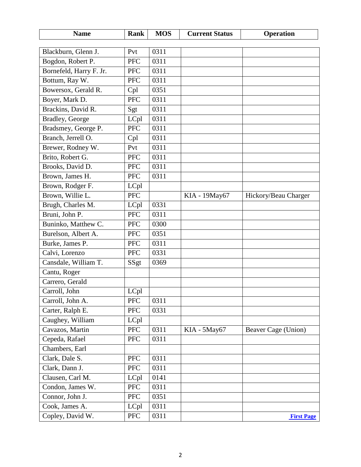<span id="page-1-0"></span>

| <b>Name</b>             | Rank                     | <b>MOS</b>   | <b>Current Status</b> | <b>Operation</b>     |
|-------------------------|--------------------------|--------------|-----------------------|----------------------|
|                         | Pvt                      | 0311         |                       |                      |
| Blackburn, Glenn J.     |                          |              |                       |                      |
| Bogdon, Robert P.       | <b>PFC</b><br><b>PFC</b> | 0311<br>0311 |                       |                      |
| Bornefeld, Harry F. Jr. |                          |              |                       |                      |
| Bottum, Ray W.          | <b>PFC</b>               | 0311         |                       |                      |
| Bowersox, Gerald R.     | Cpl                      | 0351         |                       |                      |
| Boyer, Mark D.          | <b>PFC</b>               | 0311         |                       |                      |
| Brackins, David R.      | Sgt                      | 0311         |                       |                      |
| Bradley, George         | LCpl                     | 0311         |                       |                      |
| Bradsmey, George P.     | <b>PFC</b>               | 0311         |                       |                      |
| Branch, Jerrell O.      | Cpl                      | 0311         |                       |                      |
| Brewer, Rodney W.       | Pvt                      | 0311         |                       |                      |
| Brito, Robert G.        | <b>PFC</b>               | 0311         |                       |                      |
| Brooks, David D.        | <b>PFC</b>               | 0311         |                       |                      |
| Brown, James H.         | <b>PFC</b>               | 0311         |                       |                      |
| Brown, Rodger F.        | LCpl                     |              |                       |                      |
| Brown, Willie L.        | <b>PFC</b>               |              | KIA - 19 May 67       | Hickory/Beau Charger |
| Brugh, Charles M.       | LCpl                     | 0331         |                       |                      |
| Bruni, John P.          | <b>PFC</b>               | 0311         |                       |                      |
| Buninko, Matthew C.     | <b>PFC</b>               | 0300         |                       |                      |
| Burelson, Albert A.     | <b>PFC</b>               | 0351         |                       |                      |
| Burke, James P.         | <b>PFC</b>               | 0311         |                       |                      |
| Calvi, Lorenzo          | <b>PFC</b>               | 0331         |                       |                      |
| Cansdale, William T.    | SSgt                     | 0369         |                       |                      |
| Cantu, Roger            |                          |              |                       |                      |
| Carrero, Gerald         |                          |              |                       |                      |
| Carroll, John           | LCpl                     |              |                       |                      |
| Carroll, John A.        | <b>PFC</b>               | 0311         |                       |                      |
| Carter, Ralph E.        | <b>PFC</b>               | 0331         |                       |                      |
| Caughey, William        | LCpl                     |              |                       |                      |
| Cavazos, Martin         | <b>PFC</b>               | 0311         | KIA - 5May67          | Beaver Cage (Union)  |
| Cepeda, Rafael          | <b>PFC</b>               | 0311         |                       |                      |
| Chambers, Earl          |                          |              |                       |                      |
| Clark, Dale S.          | <b>PFC</b>               | 0311         |                       |                      |
| Clark, Dann J.          | PFC                      | 0311         |                       |                      |
| Clausen, Carl M.        | LCpl                     | 0141         |                       |                      |
| Condon, James W.        | <b>PFC</b>               | 0311         |                       |                      |
| Connor, John J.         | <b>PFC</b>               | 0351         |                       |                      |
| Cook, James A.          | LCpl                     | 0311         |                       |                      |
| Copley, David W.        | <b>PFC</b>               | 0311         |                       | <b>First Page</b>    |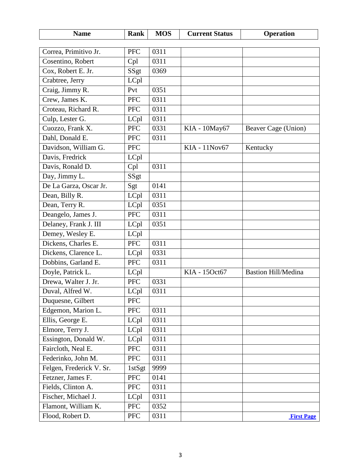<span id="page-2-2"></span><span id="page-2-1"></span><span id="page-2-0"></span>

| <b>Name</b>              | <b>Rank</b> | <b>MOS</b> | <b>Current Status</b> | <b>Operation</b>           |
|--------------------------|-------------|------------|-----------------------|----------------------------|
|                          |             |            |                       |                            |
| Correa, Primitivo Jr.    | <b>PFC</b>  | 0311       |                       |                            |
| Cosentino, Robert        | Cpl         | 0311       |                       |                            |
| Cox, Robert E. Jr.       | SSgt        | 0369       |                       |                            |
| Crabtree, Jerry          | LCpl        |            |                       |                            |
| Craig, Jimmy R.          | Pvt         | 0351       |                       |                            |
| Crew, James K.           | <b>PFC</b>  | 0311       |                       |                            |
| Croteau, Richard R.      | <b>PFC</b>  | 0311       |                       |                            |
| Culp, Lester G.          | LCpl        | 0311       |                       |                            |
| Cuozzo, Frank X.         | <b>PFC</b>  | 0331       | KIA - 10May67         | Beaver Cage (Union)        |
| Dahl, Donald E.          | <b>PFC</b>  | 0311       |                       |                            |
| Davidson, William G.     | <b>PFC</b>  |            | KIA - 11Nov67         | Kentucky                   |
| Davis, Fredrick          | LCpl        |            |                       |                            |
| Davis, Ronald D.         | Cpl         | 0311       |                       |                            |
| Day, Jimmy L.            | SSgt        |            |                       |                            |
| De La Garza, Oscar Jr.   | Sgt         | 0141       |                       |                            |
| Dean, Billy R.           | LCpl        | 0311       |                       |                            |
| Dean, Terry R.           | LCpl        | 0351       |                       |                            |
| Deangelo, James J.       | <b>PFC</b>  | 0311       |                       |                            |
| Delaney, Frank J. III    | LCpl        | 0351       |                       |                            |
| Demey, Wesley E.         | LCpl        |            |                       |                            |
| Dickens, Charles E.      | <b>PFC</b>  | 0311       |                       |                            |
| Dickens, Clarence L.     | LCpl        | 0331       |                       |                            |
| Dobbins, Garland E.      | <b>PFC</b>  | 0311       |                       |                            |
| Doyle, Patrick L.        | LCpl        |            | KIA - 15Oct67         | <b>Bastion Hill/Medina</b> |
| Drewa, Walter J. Jr.     | <b>PFC</b>  | 0331       |                       |                            |
| Duval, Alfred W.         | LCpl        | 0311       |                       |                            |
| Duquesne, Gilbert        | <b>PFC</b>  |            |                       |                            |
| Edgemon, Marion L.       | <b>PFC</b>  | 0311       |                       |                            |
| Ellis, George E.         | LCpl        | 0311       |                       |                            |
| Elmore, Terry J.         | LCpl        | 0311       |                       |                            |
| Essington, Donald W.     | LCpl        | 0311       |                       |                            |
| Faircloth, Neal E.       | <b>PFC</b>  | 0311       |                       |                            |
| Federinko, John M.       | <b>PFC</b>  | 0311       |                       |                            |
| Felgen, Frederick V. Sr. | 1stSgt      | 9999       |                       |                            |
| Fetzner, James F.        | ${\rm PFC}$ | 0141       |                       |                            |
| Fields, Clinton A.       | <b>PFC</b>  | 0311       |                       |                            |
| Fischer, Michael J.      | LCpl        | 0311       |                       |                            |
| Flamont, William K.      | <b>PFC</b>  | 0352       |                       |                            |
| Flood, Robert D.         | <b>PFC</b>  | 0311       |                       | <b>First Page</b>          |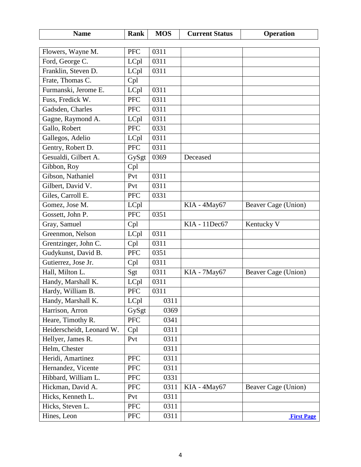<span id="page-3-1"></span><span id="page-3-0"></span>

| <b>Name</b>                                    | Rank               | <b>MOS</b> | <b>Current Status</b> | <b>Operation</b>    |
|------------------------------------------------|--------------------|------------|-----------------------|---------------------|
| Flowers, Wayne M.                              | <b>PFC</b>         | 0311       |                       |                     |
| Ford, George C.                                | LCpl               | 0311       |                       |                     |
| Franklin, Steven D.                            | LCpl               | 0311       |                       |                     |
| Frate, Thomas C.                               | Cpl                |            |                       |                     |
| Furmanski, Jerome E.                           | LCpl               | 0311       |                       |                     |
| Fuss, Fredick W.                               | <b>PFC</b>         | 0311       |                       |                     |
| Gadsden, Charles                               | <b>PFC</b>         | 0311       |                       |                     |
| Gagne, Raymond A.                              | LCpl               | 0311       |                       |                     |
| Gallo, Robert                                  | PFC                | 0331       |                       |                     |
| Gallegos, Adelio                               | LCpl               | 0311       |                       |                     |
| Gentry, Robert D.                              | <b>PFC</b>         | 0311       |                       |                     |
| Gesualdi, Gilbert A.                           | GySgt              | 0369       | Deceased              |                     |
| Gibbon, Roy                                    | Cpl                |            |                       |                     |
| Gibson, Nathaniel                              | Pvt                | 0311       |                       |                     |
| Gilbert, David V.                              | Pvt                | 0311       |                       |                     |
| Giles, Carroll E.                              | <b>PFC</b>         | 0331       |                       |                     |
| Gomez, Jose M.                                 |                    |            | KIA - 4May67          |                     |
| Gossett, John P.                               | LCpl<br><b>PFC</b> | 0351       |                       | Beaver Cage (Union) |
| Gray, Samuel                                   |                    |            | KIA - 11Dec67         | Kentucky V          |
| Greenmon, Nelson                               | Cpl                | 0311       |                       |                     |
| Grentzinger, John C.                           | LCpl               | 0311       |                       |                     |
|                                                | Cpl<br><b>PFC</b>  | 0351       |                       |                     |
| Gudykunst, David B.<br>Gutierrez, Jose Jr.     |                    | 0311       |                       |                     |
| Hall, Milton L.                                | Cpl                | 0311       | KIA - 7May67          | Beaver Cage (Union) |
|                                                | Sgt                | 0311       |                       |                     |
| Handy, Marshall K.                             | LCpl<br><b>PFC</b> |            |                       |                     |
| Hardy, William B.                              |                    | 0311       |                       |                     |
| Handy, Marshall K.                             | LCpl               | 0311       |                       |                     |
| Harrison, Arron                                | GySgt              | 0369       |                       |                     |
| Heare, Timothy R.<br>Heiderscheidt, Leonard W. | <b>PFC</b>         | 0341       |                       |                     |
|                                                | Cpl                | 0311       |                       |                     |
| Hellyer, James R.                              | Pvt                | 0311       |                       |                     |
| Helm, Chester                                  |                    | 0311       |                       |                     |
| Heridi, Amartinez                              | <b>PFC</b>         | 0311       |                       |                     |
| Hernandez, Vicente                             | <b>PFC</b>         | 0311       |                       |                     |
| Hibbard, William L.                            | <b>PFC</b>         | 0331       |                       |                     |
| Hickman, David A.                              | <b>PFC</b>         | 0311       | KIA - 4May67          | Beaver Cage (Union) |
| Hicks, Kenneth L.                              | Pvt                | 0311       |                       |                     |
| Hicks, Steven L.                               | <b>PFC</b>         | 0311       |                       |                     |
| Hines, Leon                                    | <b>PFC</b>         | 0311       |                       | <b>First Page</b>   |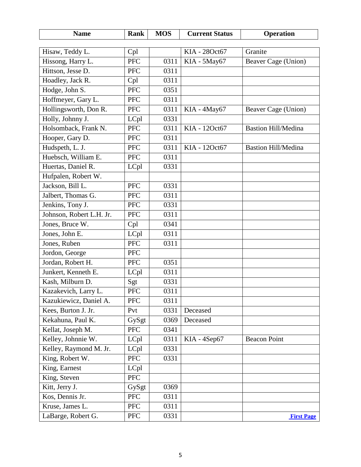<span id="page-4-2"></span><span id="page-4-1"></span><span id="page-4-0"></span>

| <b>Name</b>              | Rank       | <b>MOS</b> | <b>Current Status</b> | <b>Operation</b>           |
|--------------------------|------------|------------|-----------------------|----------------------------|
|                          |            |            |                       |                            |
| Hisaw, Teddy L.          | Cpl        |            | KIA - 28Oct67         | Granite                    |
| Hissong, Harry L.        | <b>PFC</b> | 0311       | KIA - 5May67          | Beaver Cage (Union)        |
| Hittson, Jesse D.        | <b>PFC</b> | 0311       |                       |                            |
| Hoadley, Jack R.         | Cpl        | 0311       |                       |                            |
| Hodge, John S.           | <b>PFC</b> | 0351       |                       |                            |
| Hoffmeyer, Gary L.       | <b>PFC</b> | 0311       |                       |                            |
| Hollingsworth, Don R.    | <b>PFC</b> | 0311       | KIA - 4May67          | Beaver Cage (Union)        |
| Holly, Johnny J.         | LCpl       | 0331       |                       |                            |
| Holsomback, Frank N.     | <b>PFC</b> | 0311       | KIA - 12Oct67         | <b>Bastion Hill/Medina</b> |
| Hooper, Gary D.          | <b>PFC</b> | 0311       |                       |                            |
| Hudspeth, L. J.          | PFC        | 0311       | KIA - 12Oct67         | <b>Bastion Hill/Medina</b> |
| Huebsch, William E.      | <b>PFC</b> | 0311       |                       |                            |
| Huertas, Daniel R.       | LCpl       | 0331       |                       |                            |
| Hufpalen, Robert W.      |            |            |                       |                            |
| Jackson, Bill L.         | <b>PFC</b> | 0331       |                       |                            |
| Jalbert, Thomas G.       | <b>PFC</b> | 0311       |                       |                            |
| Jenkins, Tony J.         | <b>PFC</b> | 0331       |                       |                            |
| Johnson, Robert L.H. Jr. | <b>PFC</b> | 0311       |                       |                            |
| Jones, Bruce W.          | Cpl        | 0341       |                       |                            |
| Jones, John E.           | LCpl       | 0311       |                       |                            |
| Jones, Ruben             | PFC        | 0311       |                       |                            |
| Jordon, George           | <b>PFC</b> |            |                       |                            |
| Jordan, Robert H.        | <b>PFC</b> | 0351       |                       |                            |
| Junkert, Kenneth E.      | LCpl       | 0311       |                       |                            |
| Kash, Milburn D.         | Sgt        | 0331       |                       |                            |
| Kazakevich, Larry L.     | PFC        | 0311       |                       |                            |
| Kazukiewicz, Daniel A.   | <b>PFC</b> | 0311       |                       |                            |
| Kees, Burton J. Jr.      | Pvt        | 0331       | Deceased              |                            |
| Kekahuna, Paul K.        | GySgt      | 0369       | Deceased              |                            |
| Kellat, Joseph M.        | <b>PFC</b> | 0341       |                       |                            |
| Kelley, Johnnie W.       | LCpl       | 0311       | KIA - 4Sep67          | <b>Beacon Point</b>        |
| Kelley, Raymond M. Jr.   | LCpl       | 0331       |                       |                            |
| King, Robert W.          | <b>PFC</b> | 0331       |                       |                            |
| King, Earnest            | LCpl       |            |                       |                            |
| King, Steven             | PFC        |            |                       |                            |
| Kitt, Jerry J.           | GySgt      | 0369       |                       |                            |
| Kos, Dennis Jr.          | <b>PFC</b> | 0311       |                       |                            |
| Kruse, James L.          | <b>PFC</b> | 0311       |                       |                            |
| LaBarge, Robert G.       | <b>PFC</b> | 0331       |                       | <b>First Page</b>          |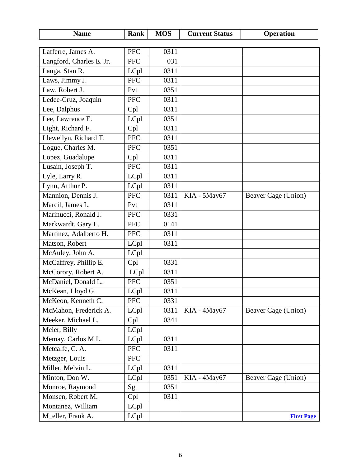<span id="page-5-0"></span>

| <b>Name</b>              | <b>Rank</b> | <b>MOS</b>        | <b>Current Status</b> | <b>Operation</b>    |
|--------------------------|-------------|-------------------|-----------------------|---------------------|
|                          |             |                   |                       |                     |
| Lafferre, James A.       | <b>PFC</b>  | 0311              |                       |                     |
| Langford, Charles E. Jr. | <b>PFC</b>  | 031               |                       |                     |
| Lauga, Stan R.           | LCpl        | 0311              |                       |                     |
| Laws, Jimmy J.           | <b>PFC</b>  | 0311              |                       |                     |
| Law, Robert J.           | Pvt         | 0351              |                       |                     |
| Ledee-Cruz, Joaquin      | <b>PFC</b>  | 0311              |                       |                     |
| Lee, Dalphus             | Cpl         | 0311              |                       |                     |
| Lee, Lawrence E.         | LCpl        | 0351              |                       |                     |
| Light, Richard F.        | Cpl         | 0311              |                       |                     |
| Llewellyn, Richard T.    | <b>PFC</b>  | 0311              |                       |                     |
| Logue, Charles M.        | <b>PFC</b>  | 0351              |                       |                     |
| Lopez, Guadalupe         | Cpl         | $\overline{0}311$ |                       |                     |
| Lusain, Joseph T.        | <b>PFC</b>  | 0311              |                       |                     |
| Lyle, Larry R.           | LCpl        | 0311              |                       |                     |
| Lynn, Arthur P.          | LCpl        | 0311              |                       |                     |
| Mannion, Dennis J.       | <b>PFC</b>  | 0311              | KIA - 5May67          | Beaver Cage (Union) |
| Marcil, James L.         | Pvt         | 0311              |                       |                     |
| Marinucci, Ronald J.     | <b>PFC</b>  | 0331              |                       |                     |
| Markwardt, Gary L.       | <b>PFC</b>  | 0141              |                       |                     |
| Martinez, Adalberto H.   | <b>PFC</b>  | 0311              |                       |                     |
| Matson, Robert           | LCpl        | 0311              |                       |                     |
| McAuley, John A.         | LCpl        |                   |                       |                     |
| McCaffrey, Phillip E.    | Cpl         | 0331              |                       |                     |
| McCorory, Robert A.      | LCpl        | 0311              |                       |                     |
| McDaniel, Donald L.      | <b>PFC</b>  | 0351              |                       |                     |
| McKean, Lloyd G.         | LCpl        | 0311              |                       |                     |
| McKeon, Kenneth C.       | <b>PFC</b>  | 0331              |                       |                     |
| McMahon, Frederick A.    | LCpl        | 0311              | KIA - 4May67          | Beaver Cage (Union) |
| Meeker, Michael L.       | Cpl         | 0341              |                       |                     |
| Meier, Billy             | LCpl        |                   |                       |                     |
| Memay, Carlos M.L.       | LCpl        | 0311              |                       |                     |
| Metcalfe, C. A.          | <b>PFC</b>  | 0311              |                       |                     |
| Metzger, Louis           | <b>PFC</b>  |                   |                       |                     |
| Miller, Melvin L.        | LCpl        | 0311              |                       |                     |
| Minton, Don W.           | LCpl        | 0351              | KIA - 4May67          | Beaver Cage (Union) |
| Monroe, Raymond          | Sgt         | 0351              |                       |                     |
| Monsen, Robert M.        | Cpl         | 0311              |                       |                     |
| Montanez, William        | LCpl        |                   |                       |                     |
| M_eller, Frank A.        | LCpl        |                   |                       | <b>First Page</b>   |
|                          |             |                   |                       |                     |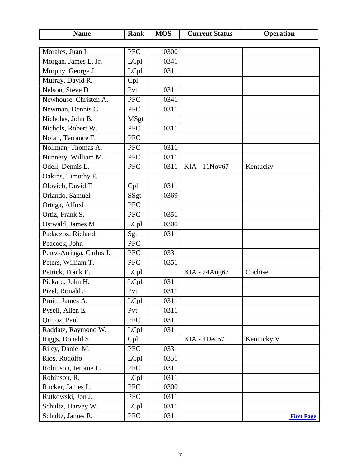<span id="page-6-5"></span><span id="page-6-4"></span><span id="page-6-3"></span><span id="page-6-2"></span><span id="page-6-1"></span><span id="page-6-0"></span>

| <b>Name</b>              | <b>Rank</b> | <b>MOS</b> | <b>Current Status</b> | <b>Operation</b>  |
|--------------------------|-------------|------------|-----------------------|-------------------|
|                          |             | 0300       |                       |                   |
| Morales, Juan I.         | <b>PFC</b>  |            |                       |                   |
| Morgan, James L. Jr.     | LCpl        | 0341       |                       |                   |
| Murphy, George J.        | LCpl        | 0311       |                       |                   |
| Murray, David R.         | Cpl         |            |                       |                   |
| Nelson, Steve D          | Pvt         | 0311       |                       |                   |
| Newhouse, Christen A.    | <b>PFC</b>  | 0341       |                       |                   |
| Newman, Dennis C.        | <b>PFC</b>  | 0311       |                       |                   |
| Nicholas, John B.        | <b>MSgt</b> |            |                       |                   |
| Nichols, Robert W.       | <b>PFC</b>  | 0311       |                       |                   |
| Nolan, Terrance F.       | <b>PFC</b>  |            |                       |                   |
| Nollman, Thomas A.       | <b>PFC</b>  | 0311       |                       |                   |
| Nunnery, William M.      | <b>PFC</b>  | 0311       |                       |                   |
| Odell, Dennis L.         | <b>PFC</b>  | 0311       | KIA - 11Nov67         | Kentucky          |
| Oakins, Timothy F.       |             |            |                       |                   |
| Olovich, David T         | Cpl         | 0311       |                       |                   |
| Orlando, Samuel          | SSgt        | 0369       |                       |                   |
| Ortega, Alfred           | <b>PFC</b>  |            |                       |                   |
| Ortiz, Frank S.          | <b>PFC</b>  | 0351       |                       |                   |
| Ostwald, James M.        | LCpl        | 0300       |                       |                   |
| Padaczoz, Richard        | Sgt         | 0311       |                       |                   |
| Peacock, John            | <b>PFC</b>  |            |                       |                   |
| Perez-Arriaga, Carlos J. | <b>PFC</b>  | 0331       |                       |                   |
| Peters, William T.       | <b>PFC</b>  | 0351       |                       |                   |
| Petrick, Frank E.        | LCpl        |            | KIA - 24Aug67         | Cochise           |
| Pickard, John H.         | LCpl        | 0311       |                       |                   |
| Pizel, Ronald J.         | Pvt         | 0311       |                       |                   |
| Pruitt, James A.         | LCpl        | 0311       |                       |                   |
| Pysell, Allen E.         | Pvt         | 0311       |                       |                   |
| Quiroz, Paul             | <b>PFC</b>  | 0311       |                       |                   |
| Raddatz, Raymond W.      | LCpl        | 0311       |                       |                   |
| Riggs, Donald S.         | Cpl         |            | KIA - 4Dec67          | Kentucky V        |
| Riley, Daniel M.         | PFC         | 0331       |                       |                   |
| Rios, Rodolfo            | LCpl        | 0351       |                       |                   |
| Robinson, Jerome L.      | PFC         | 0311       |                       |                   |
| Robinson, R.             | LCpl        | 0311       |                       |                   |
| Rucker, James L.         | <b>PFC</b>  | 0300       |                       |                   |
| Rutkowski, Jon J.        | <b>PFC</b>  | 0311       |                       |                   |
| Schultz, Harvey W.       | LCpl        | 0311       |                       |                   |
| Schultz, James R.        | <b>PFC</b>  | 0311       |                       | <b>First Page</b> |
|                          |             |            |                       |                   |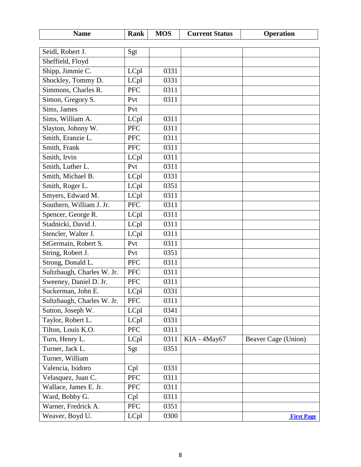<span id="page-7-2"></span><span id="page-7-1"></span><span id="page-7-0"></span>

| <b>Name</b>                      | Rank               | <b>MOS</b> | <b>Current Status</b> | <b>Operation</b>    |
|----------------------------------|--------------------|------------|-----------------------|---------------------|
| Seidl, Robert J.                 |                    |            |                       |                     |
| Sheffield, Floyd                 | Sgt                |            |                       |                     |
| Shipp, Jimmie C.                 | LCpl               | 0331       |                       |                     |
| Shockley, Tommy D.               | LCpl               | 0331       |                       |                     |
| Simmons, Charles R.              | <b>PFC</b>         | 0311       |                       |                     |
|                                  | Pvt                | 0311       |                       |                     |
| Simon, Gregory S.<br>Sims, James | Pvt                |            |                       |                     |
| Sims, William A.                 |                    | 0311       |                       |                     |
|                                  | LCpl<br><b>PFC</b> |            |                       |                     |
| Slayton, Johnny W.               |                    | 0311       |                       |                     |
| Smith, Eranzie L.                | <b>PFC</b>         | 0311       |                       |                     |
| Smith, Frank                     | <b>PFC</b>         | 0311       |                       |                     |
| Smith, Irvin                     | LCpl               | 0311       |                       |                     |
| Smith, Luther L.                 | Pvt                | 0311       |                       |                     |
| Smith, Michael B.                | LCpl               | 0331       |                       |                     |
| Smith, Roger L.                  | LCpl               | 0351       |                       |                     |
| Smyers, Edward M.                | LCpl               | 0311       |                       |                     |
| Southern, William J. Jr.         | <b>PFC</b>         | 0311       |                       |                     |
| Spencer, George R.               | LCpl               | 0311       |                       |                     |
| Stadnicki, David J.              | LCpl               | 0311       |                       |                     |
| Stencler, Walter J.              | LCpl               | 0311       |                       |                     |
| StGermain, Robert S.             | Pvt                | 0311       |                       |                     |
| String, Robert J.                | Pvt                | 0351       |                       |                     |
| Strong, Donald L.                | <b>PFC</b>         | 0311       |                       |                     |
| Sultzbaugh, Charles W. Jr.       | PFC                | 0311       |                       |                     |
| Sweeney, Daniel D. Jr.           | <b>PFC</b>         | 0311       |                       |                     |
| Suckerman, John E                | LCpl               | 0331       |                       |                     |
| Sultzbaugh, Charles W. Jr.       | <b>PFC</b>         | 0311       |                       |                     |
| Sutton, Joseph W.                | LCpl               | 0341       |                       |                     |
| Taylor, Robert L.                | LCpl               | 0331       |                       |                     |
| Tilton, Louis K.O.               | <b>PFC</b>         | 0311       |                       |                     |
| Turn, Henry L.                   | LCpl               | 0311       | KIA - 4May67          | Beaver Cage (Union) |
| Turner, Jack L.                  | Sgt                | 0351       |                       |                     |
| Turner, William                  |                    |            |                       |                     |
| Valencia, Isidoro                | Cpl                | 0331       |                       |                     |
| Velasquez, Juan C.               | PFC                | 0311       |                       |                     |
| Wallace, James E. Jr.            | <b>PFC</b>         | 0311       |                       |                     |
| Ward, Bobby G.                   | Cpl                | 0311       |                       |                     |
| Warner, Fredrick A.              | PFC                | 0351       |                       |                     |
| Weaver, Boyd U.                  | LCpl               | 0300       |                       | <b>First Page</b>   |